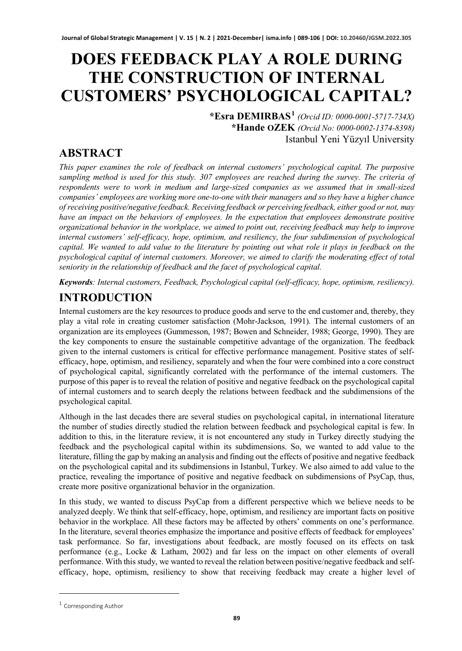# **DOES FEEDBACK PLAY A ROLE DURING THE CONSTRUCTION OF INTERNAL CUSTOMERS' PSYCHOLOGICAL CAPITAL?**

**\*Esra DEMIRBAS[1](#page-0-0)** *(Orcid ID: 0000-0001-5717-734X)* **\*Hande OZEK** *(Orcid No: 0000-0002-1374-8398)* Istanbul Yeni Yüzyıl University

# **ABSTRACT**

*This paper examines the role of feedback on internal customers' psychological capital. The purposive sampling method is used for this study. 307 employees are reached during the survey. The criteria of respondents were to work in medium and large-sized companies as we assumed that in small-sized companies' employees are working more one-to-one with their managers and so they have a higher chance of receiving positive/negative feedback. Receiving feedback or perceiving feedback, either good or not, may have an impact on the behaviors of employees. In the expectation that employees demonstrate positive organizational behavior in the workplace, we aimed to point out, receiving feedback may help to improve internal customers' self-efficacy, hope, optimism, and resiliency, the four subdimension of psychological capital. We wanted to add value to the literature by pointing out what role it plays in feedback on the psychological capital of internal customers. Moreover, we aimed to clarify the moderating effect of total seniority in the relationship of feedback and the facet of psychological capital.* 

*Keywords: Internal customers, Feedback, Psychological capital (self-efficacy, hope, optimism, resiliency).*

# **INTRODUCTION**

Internal customers are the key resources to produce goods and serve to the end customer and, thereby, they play a vital role in creating customer satisfaction (Mohr-Jackson, 1991). The internal customers of an organization are its employees (Gummesson, 1987; Bowen and Schneider, 1988; George, 1990). They are the key components to ensure the sustainable competitive advantage of the organization. The feedback given to the internal customers is critical for effective performance management. Positive states of selfefficacy, hope, optimism, and resiliency, separately and when the four were combined into a core construct of psychological capital, significantly correlated with the performance of the internal customers. The purpose of this paper is to reveal the relation of positive and negative feedback on the psychological capital of internal customers and to search deeply the relations between feedback and the subdimensions of the psychological capital.

Although in the last decades there are several studies on psychological capital, in international literature the number of studies directly studied the relation between feedback and psychological capital is few. In addition to this, in the literature review, it is not encountered any study in Turkey directly studying the feedback and the psychological capital within its subdimensions. So, we wanted to add value to the literature, filling the gap by making an analysis and finding out the effects of positive and negative feedback on the psychological capital and its subdimensions in Istanbul, Turkey. We also aimed to add value to the practice, revealing the importance of positive and negative feedback on subdimensions of PsyCap, thus, create more positive organizational behavior in the organization.

In this study, we wanted to discuss PsyCap from a different perspective which we believe needs to be analyzed deeply. We think that self-efficacy, hope, optimism, and resiliency are important facts on positive behavior in the workplace. All these factors may be affected by others' comments on one's performance. In the literature, several theories emphasize the importance and positive effects of feedback for employees' task performance. So far, investigations about feedback, are mostly focused on its effects on task performance (e.g., Locke & Latham, 2002) and far less on the impact on other elements of overall performance. With this study, we wanted to reveal the relation between positive/negative feedback and selfefficacy, hope, optimism, resiliency to show that receiving feedback may create a higher level of

<span id="page-0-0"></span><sup>1</sup> Corresponding Author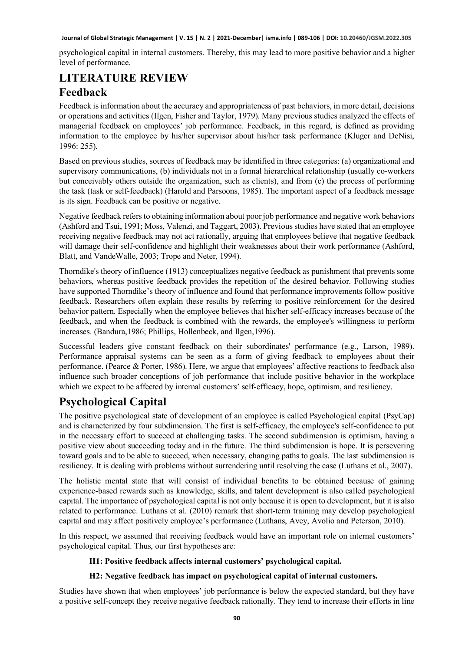psychological capital in internal customers. Thereby, this may lead to more positive behavior and a higher level of performance.

# **LITERATURE REVIEW Feedback**

Feedback is information about the accuracy and appropriateness of past behaviors, in more detail, decisions or operations and activities (Ilgen, Fisher and Taylor, 1979). Many previous studies analyzed the effects of managerial feedback on employees' job performance. Feedback, in this regard, is defined as providing information to the employee by his/her supervisor about his/her task performance (Kluger and DeNisi, 1996: 255).

Based on previous studies, sources of feedback may be identified in three categories: (a) organizational and supervisory communications, (b) individuals not in a formal hierarchical relationship (usually co-workers but conceivably others outside the organization, such as clients), and from (c) the process of performing the task (task or self-feedback) (Harold and Parsoons, 1985). The important aspect of a feedback message is its sign. Feedback can be positive or negative.

Negative feedback refers to obtaining information about poor job performance and negative work behaviors (Ashford and Tsui, 1991; Moss, Valenzi, and Taggart, 2003). Previous studies have stated that an employee receiving negative feedback may not act rationally, arguing that employees believe that negative feedback will damage their self-confidence and highlight their weaknesses about their work performance (Ashford, Blatt, and VandeWalle, 2003; Trope and Neter, 1994).

Thorndike's theory of influence (1913) conceptualizes negative feedback as punishment that prevents some behaviors, whereas positive feedback provides the repetition of the desired behavior. Following studies have supported Thorndike's theory of influence and found that performance improvements follow positive feedback. Researchers often explain these results by referring to positive reinforcement for the desired behavior pattern. Especially when the employee believes that his/her self-efficacy increases because of the feedback, and when the feedback is combined with the rewards, the employee's willingness to perform increases. (Bandura,1986; Phillips, Hollenbeck, and Ilgen,1996).

Successful leaders give constant feedback on their subordinates' performance (e.g., Larson, 1989). Performance appraisal systems can be seen as a form of giving feedback to employees about their performance. (Pearce & Porter, 1986). Here, we argue that employees' affective reactions to feedback also influence such broader conceptions of job performance that include positive behavior in the workplace which we expect to be affected by internal customers' self-efficacy, hope, optimism, and resiliency.

# **Psychological Capital**

The positive psychological state of development of an employee is called Psychological capital (PsyCap) and is characterized by four subdimension. The first is self-efficacy, the employee's self-confidence to put in the necessary effort to succeed at challenging tasks. The second subdimension is optimism, having a positive view about succeeding today and in the future. The third subdimension is hope. It is persevering toward goals and to be able to succeed, when necessary, changing paths to goals. The last subdimension is resiliency. It is dealing with problems without surrendering until resolving the case (Luthans et al., 2007).

The holistic mental state that will consist of individual benefits to be obtained because of gaining experience-based rewards such as knowledge, skills, and talent development is also called psychological capital. The importance of psychological capital is not only because it is open to development, but it is also related to performance. Luthans et al. (2010) remark that short-term training may develop psychological capital and may affect positively employee's performance (Luthans, Avey, Avolio and Peterson, 2010).

In this respect, we assumed that receiving feedback would have an important role on internal customers' psychological capital. Thus, our first hypotheses are:

### **H1: Positive feedback affects internal customers' psychological capital.**

### **H2: Negative feedback has impact on psychological capital of internal customers.**

Studies have shown that when employees' job performance is below the expected standard, but they have a positive self-concept they receive negative feedback rationally. They tend to increase their efforts in line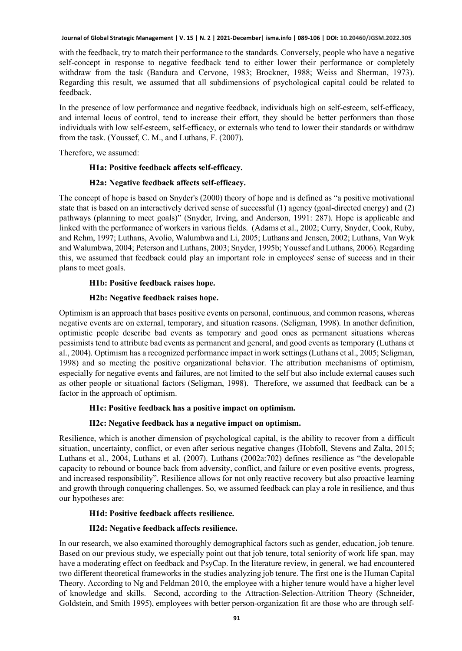with the feedback, try to match their performance to the standards. Conversely, people who have a negative self-concept in response to negative feedback tend to either lower their performance or completely withdraw from the task (Bandura and Cervone, 1983; Brockner, 1988; Weiss and Sherman, 1973). Regarding this result, we assumed that all subdimensions of psychological capital could be related to feedback.

In the presence of low performance and negative feedback, individuals high on self-esteem, self-efficacy, and internal locus of control, tend to increase their effort, they should be better performers than those individuals with low self-esteem, self-efficacy, or externals who tend to lower their standards or withdraw from the task. (Youssef, C. M., and Luthans, F. (2007).

Therefore, we assumed:

### **H1a: Positive feedback affects self-efficacy.**

### **H2a: Negative feedback affects self-efficacy.**

The concept of hope is based on Snyder's (2000) theory of hope and is defined as "a positive motivational state that is based on an interactively derived sense of successful (1) agency (goal-directed energy) and (2) pathways (planning to meet goals)" (Snyder, Irving, and Anderson, 1991: 287). Hope is applicable and linked with the performance of workers in various fields. (Adams et al., 2002; Curry, Snyder, Cook, Ruby, and Rehm, 1997; Luthans, Avolio, Walumbwa and Li, 2005; Luthans and Jensen, 2002; Luthans, Van Wyk and Walumbwa, 2004; Peterson and Luthans, 2003; Snyder, 1995b; Youssef and Luthans, 2006). Regarding this, we assumed that feedback could play an important role in employees' sense of success and in their plans to meet goals.

### **H1b: Positive feedback raises hope.**

### **H2b: Negative feedback raises hope.**

Optimism is an approach that bases positive events on personal, continuous, and common reasons, whereas negative events are on external, temporary, and situation reasons. (Seligman, 1998). In another definition, optimistic people describe bad events as temporary and good ones as permanent situations whereas pessimists tend to attribute bad events as permanent and general, and good events as temporary (Luthans et al., 2004). Optimism has a recognized performance impact in work settings (Luthans et al., 2005; Seligman, 1998) and so meeting the positive organizational behavior. The attribution mechanisms of optimism, especially for negative events and failures, are not limited to the self but also include external causes such as other people or situational factors (Seligman, 1998). Therefore, we assumed that feedback can be a factor in the approach of optimism.

### **H1c: Positive feedback has a positive impact on optimism.**

### **H2c: Negative feedback has a negative impact on optimism.**

Resilience, which is another dimension of psychological capital, is the ability to recover from a difficult situation, uncertainty, conflict, or even after serious negative changes (Hobfoll, Stevens and Zalta, 2015; Luthans et al., 2004, Luthans et al. (2007). Luthans (2002a:702) defines resilience as "the developable capacity to rebound or bounce back from adversity, conflict, and failure or even positive events, progress, and increased responsibility". Resilience allows for not only reactive recovery but also proactive learning and growth through conquering challenges. So, we assumed feedback can play a role in resilience, and thus our hypotheses are:

### **H1d: Positive feedback affects resilience.**

### **H2d: Negative feedback affects resilience.**

In our research, we also examined thoroughly demographical factors such as gender, education, job tenure. Based on our previous study, we especially point out that job tenure, total seniority of work life span, may have a moderating effect on feedback and PsyCap. In the literature review, in general, we had encountered two different theoretical frameworks in the studies analyzing job tenure. The first one is the Human Capital Theory. According to Ng and Feldman 2010, the employee with a higher tenure would have a higher level of knowledge and skills. Second, according to the Attraction-Selection-Attrition Theory (Schneider, Goldstein, and Smith 1995), employees with better person-organization fit are those who are through self-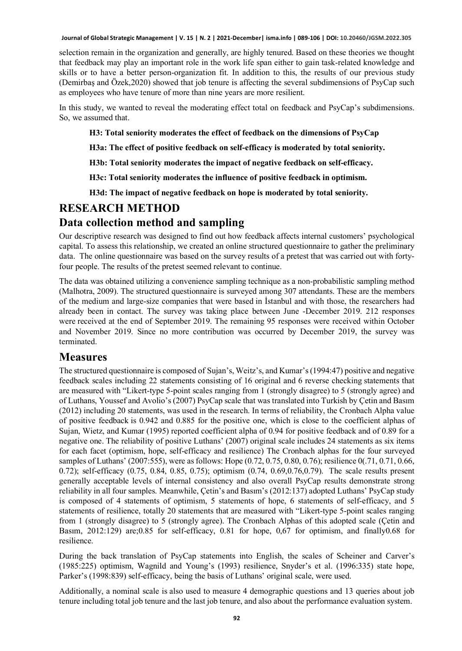selection remain in the organization and generally, are highly tenured. Based on these theories we thought that feedback may play an important role in the work life span either to gain task-related knowledge and skills or to have a better person-organization fit. In addition to this, the results of our previous study (Demirbaş and Özek,2020) showed that job tenure is affecting the several subdimensions of PsyCap such as employees who have tenure of more than nine years are more resilient.

In this study, we wanted to reveal the moderating effect total on feedback and PsyCap's subdimensions. So, we assumed that.

**H3: Total seniority moderates the effect of feedback on the dimensions of PsyCap**

**H3a: The effect of positive feedback on self-efficacy is moderated by total seniority.**

**H3b: Total seniority moderates the impact of negative feedback on self-efficacy.**

**H3c: Total seniority moderates the influence of positive feedback in optimism.**

**H3d: The impact of negative feedback on hope is moderated by total seniority.**

### **RESEARCH METHOD**

### **Data collection method and sampling**

Our descriptive research was designed to find out how feedback affects internal customers' psychological capital. To assess this relationship, we created an online structured questionnaire to gather the preliminary data. The online questionnaire was based on the survey results of a pretest that was carried out with fortyfour people. The results of the pretest seemed relevant to continue.

The data was obtained utilizing a convenience sampling technique as a non-probabilistic sampling method (Malhotra, 2009). The structured questionnaire is surveyed among 307 attendants. These are the members of the medium and large-size companies that were based in İstanbul and with those, the researchers had already been in contact. The survey was taking place between June -December 2019. 212 responses were received at the end of September 2019. The remaining 95 responses were received within October and November 2019. Since no more contribution was occurred by December 2019, the survey was terminated.

### **Measures**

The structured questionnaire is composed of Sujan's, Weitz's, and Kumar's(1994:47) positive and negative feedback scales including 22 statements consisting of 16 original and 6 reverse checking statements that are measured with "Likert-type 5-point scales ranging from 1 (strongly disagree) to 5 (strongly agree) and of Luthans, Youssef and Avolio's (2007) PsyCap scale that was translated into Turkish by Çetin and Basım (2012) including 20 statements, was used in the research. In terms of reliability, the Cronbach Alpha value of positive feedback is 0.942 and 0.885 for the positive one, which is close to the coefficient alphas of Sujan, Wietz, and Kumar (1995) reported coefficient alpha of 0.94 for positive feedback and of 0.89 for a negative one. The reliability of positive Luthans' (2007) original scale includes 24 statements as six items for each facet (optimism, hope, self-efficacy and resilience) The Cronbach alphas for the four surveyed samples of Luthans' (2007:555), were as follows: Hope (0.72, 0.75, 0.80, 0.76); resilience 0(.71, 0.71, 0.66, 0.72); self-efficacy (0.75, 0.84, 0.85, 0.75); optimism (0.74, 0.69,0.76,0.79). The scale results present generally acceptable levels of internal consistency and also overall PsyCap results demonstrate strong reliability in all four samples. Meanwhile, Çetin's and Basım's (2012:137) adopted Luthans' PsyCap study is composed of 4 statements of optimism, 5 statements of hope, 6 statements of self-efficacy, and 5 statements of resilience, totally 20 statements that are measured with "Likert-type 5-point scales ranging from 1 (strongly disagree) to 5 (strongly agree). The Cronbach Alphas of this adopted scale (Çetin and Basım, 2012:129) are;0.85 for self-efficacy, 0.81 for hope, 0,67 for optimism, and finally0.68 for resilience.

During the back translation of PsyCap statements into English, the scales of Scheiner and Carver's (1985:225) optimism, Wagnild and Young's (1993) resilience, Snyder's et al. (1996:335) state hope, Parker's (1998:839) self-efficacy, being the basis of Luthans' original scale, were used.

Additionally, a nominal scale is also used to measure 4 demographic questions and 13 queries about job tenure including total job tenure and the last job tenure, and also about the performance evaluation system.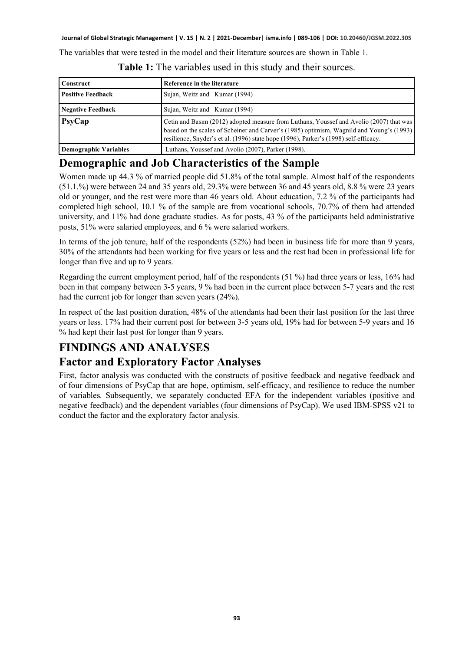The variables that were tested in the model and their literature sources are shown in Table 1.

| Construct                    | Reference in the literature                                                                                                                                                                                                                                                 |
|------------------------------|-----------------------------------------------------------------------------------------------------------------------------------------------------------------------------------------------------------------------------------------------------------------------------|
| <b>Positive Feedback</b>     | Sujan, Weitz and Kumar (1994)                                                                                                                                                                                                                                               |
| <b>Negative Feedback</b>     | Sujan, Weitz and Kumar (1994)                                                                                                                                                                                                                                               |
| PsyCap                       | Çetin and Basım (2012) adopted measure from Luthans, Youssef and Avolio (2007) that was<br>based on the scales of Scheiner and Carver's (1985) optimism, Wagnild and Young's (1993)<br>resilience, Snyder's et al. (1996) state hope (1996), Parker's (1998) self-efficacy. |
| <b>Demographic Variables</b> | Luthans, Youssef and Avolio (2007), Parker (1998).                                                                                                                                                                                                                          |

**Table 1:** The variables used in this study and their sources.

### **Demographic and Job Characteristics of the Sample**

Women made up 44.3 % of married people did 51.8% of the total sample. Almost half of the respondents (51.1.%) were between 24 and 35 years old, 29.3% were between 36 and 45 years old, 8.8 % were 23 years old or younger, and the rest were more than 46 years old. About education, 7.2 % of the participants had completed high school, 10.1 % of the sample are from vocational schools, 70.7% of them had attended university, and 11% had done graduate studies. As for posts, 43 % of the participants held administrative posts, 51% were salaried employees, and 6 % were salaried workers.

In terms of the job tenure, half of the respondents (52%) had been in business life for more than 9 years, 30% of the attendants had been working for five years or less and the rest had been in professional life for longer than five and up to 9 years.

Regarding the current employment period, half of the respondents (51 %) had three years or less, 16% had been in that company between 3-5 years, 9 % had been in the current place between 5-7 years and the rest had the current job for longer than seven years (24%).

In respect of the last position duration, 48% of the attendants had been their last position for the last three years or less. 17% had their current post for between 3-5 years old, 19% had for between 5-9 years and 16 % had kept their last post for longer than 9 years.

# **FINDINGS AND ANALYSES**

### **Factor and Exploratory Factor Analyses**

First, factor analysis was conducted with the constructs of positive feedback and negative feedback and of four dimensions of PsyCap that are hope, optimism, self-efficacy, and resilience to reduce the number of variables. Subsequently, we separately conducted EFA for the independent variables (positive and negative feedback) and the dependent variables (four dimensions of PsyCap). We used IBM-SPSS v21 to conduct the factor and the exploratory factor analysis.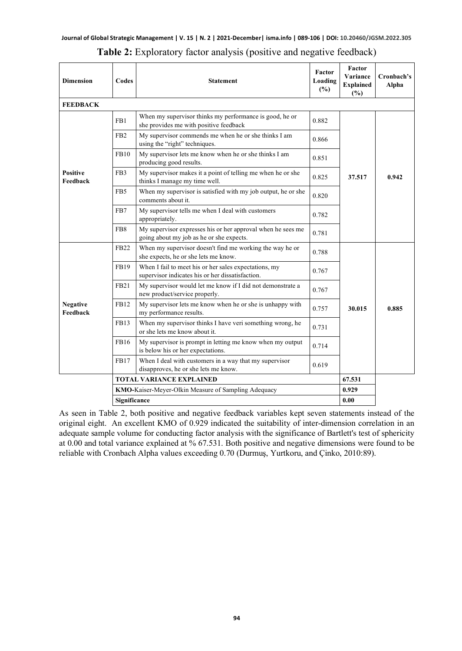| <b>Dimension</b>                                    | Codes           | <b>Statement</b>                                                                                          | Factor<br>Loading<br>$(\%)$ | Factor<br>Variance<br><b>Explained</b><br>(%) | Cronbach's<br>Alpha |
|-----------------------------------------------------|-----------------|-----------------------------------------------------------------------------------------------------------|-----------------------------|-----------------------------------------------|---------------------|
| <b>FEEDBACK</b>                                     |                 |                                                                                                           |                             |                                               |                     |
|                                                     | FB1             | When my supervisor thinks my performance is good, he or<br>she provides me with positive feedback         | 0.882                       |                                               |                     |
|                                                     | FB <sub>2</sub> | My supervisor commends me when he or she thinks I am<br>using the "right" techniques.                     | 0.866                       |                                               |                     |
|                                                     | <b>FB10</b>     | My supervisor lets me know when he or she thinks I am<br>producing good results.                          | 0.851                       |                                               |                     |
| <b>Positive</b><br>Feedback                         | FB <sub>3</sub> | My supervisor makes it a point of telling me when he or she<br>thinks I manage my time well.              | 0.825                       | 37.517                                        | 0.942               |
|                                                     | FB5             | When my supervisor is satisfied with my job output, he or she<br>comments about it.                       | 0.820                       |                                               |                     |
|                                                     | FB7             | My supervisor tells me when I deal with customers<br>appropriately.                                       | 0.782                       |                                               |                     |
|                                                     | FB <sub>8</sub> | My supervisor expresses his or her approval when he sees me<br>going about my job as he or she expects.   | 0.781                       |                                               |                     |
|                                                     | <b>FB22</b>     | When my supervisor doesn't find me working the way he or<br>she expects, he or she lets me know.          | 0.788                       |                                               | 0.885               |
|                                                     | FB19            | When I fail to meet his or her sales expectations, my<br>supervisor indicates his or her dissatisfaction. | 0.767                       |                                               |                     |
|                                                     | <b>FB21</b>     | My supervisor would let me know if I did not demonstrate a<br>new product/service properly.               | 0.767                       |                                               |                     |
| <b>Negative</b><br>Feedback                         | FB12            | My supervisor lets me know when he or she is unhappy with<br>my performance results.                      | 0.757                       | 30.015                                        |                     |
|                                                     | <b>FB13</b>     | When my supervisor thinks I have veri something wrong, he<br>or she lets me know about it.                | 0.731                       |                                               |                     |
|                                                     | FB16            | My supervisor is prompt in letting me know when my output<br>is below his or her expectations.            | 0.714                       |                                               |                     |
|                                                     | <b>FB17</b>     | When I deal with customers in a way that my supervisor<br>disapproves, he or she lets me know.            | 0.619                       |                                               |                     |
| <b>TOTAL VARIANCE EXPLAINED</b>                     |                 |                                                                                                           |                             |                                               |                     |
| KMO-Kaiser-Meyer-Olkin Measure of Sampling Adequacy |                 |                                                                                                           |                             | 0.929                                         |                     |
|                                                     | Significance    |                                                                                                           |                             |                                               |                     |

**Table 2:** Exploratory factor analysis (positive and negative feedback)

As seen in Table 2, both positive and negative feedback variables kept seven statements instead of the original eight. An excellent KMO of 0.929 indicated the suitability of inter-dimension correlation in an adequate sample volume for conducting factor analysis with the significance of Bartlett's test of sphericity at 0.00 and total variance explained at % 67.531. Both positive and negative dimensions were found to be reliable with Cronbach Alpha values exceeding 0.70 (Durmuş, Yurtkoru, and Çinko, 2010:89).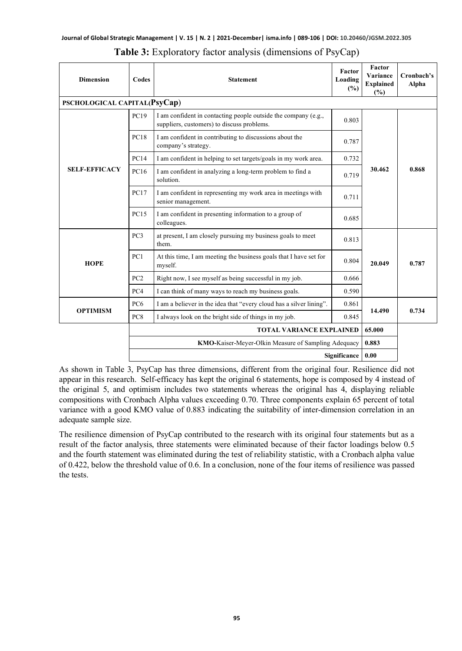| <b>Dimension</b>             | Codes                                               | <b>Statement</b>                                                                                             | <b>Factor</b><br>Loading<br>(%) | Factor<br>Variance<br><b>Explained</b><br>(%) | Cronbach's<br>Alpha |
|------------------------------|-----------------------------------------------------|--------------------------------------------------------------------------------------------------------------|---------------------------------|-----------------------------------------------|---------------------|
| PSCHOLOGICAL CAPITAL(PsyCap) |                                                     |                                                                                                              |                                 |                                               |                     |
|                              | PC19                                                | I am confident in contacting people outside the company (e.g.,<br>suppliers, customers) to discuss problems. | 0.803                           |                                               |                     |
|                              | PC18                                                | I am confident in contributing to discussions about the<br>company's strategy.                               | 0.787                           |                                               |                     |
|                              | PC14                                                | I am confident in helping to set targets/goals in my work area.                                              | 0.732                           |                                               | 0.868               |
| <b>SELF-EFFICACY</b>         | PC16                                                | I am confident in analyzing a long-term problem to find a<br>solution.                                       | 0.719                           | 30.462                                        |                     |
|                              | PC17                                                | I am confident in representing my work area in meetings with<br>senior management.                           | 0.711                           |                                               |                     |
|                              | PC15                                                | I am confident in presenting information to a group of<br>colleagues.                                        | 0.685                           |                                               |                     |
| <b>HOPE</b>                  | PC3                                                 | at present, I am closely pursuing my business goals to meet<br>them.                                         | 0.813                           |                                               |                     |
|                              | PC1                                                 | At this time, I am meeting the business goals that I have set for<br>myself.                                 | 0.804                           | 20.049                                        | 0.787               |
|                              | PC2                                                 | Right now, I see myself as being successful in my job.                                                       | 0.666                           |                                               |                     |
|                              | PC <sub>4</sub>                                     | I can think of many ways to reach my business goals.                                                         | 0.590                           |                                               |                     |
|                              | PC <sub>6</sub>                                     | I am a believer in the idea that "every cloud has a silver lining".<br>0.861                                 |                                 | 14.490                                        | 0.734               |
| <b>OPTIMISM</b>              | PC8                                                 | I always look on the bright side of things in my job.                                                        | 0.845                           |                                               |                     |
|                              | <b>TOTAL VARIANCE EXPLAINED</b>                     |                                                                                                              |                                 | 65.000                                        |                     |
|                              | KMO-Kaiser-Meyer-Olkin Measure of Sampling Adequacy |                                                                                                              |                                 |                                               |                     |
|                              | 0.00<br><b>Significance</b>                         |                                                                                                              |                                 |                                               |                     |

|  | <b>Table 3:</b> Exploratory factor analysis (dimensions of PsyCap) |  |  |
|--|--------------------------------------------------------------------|--|--|
|  |                                                                    |  |  |

As shown in Table 3, PsyCap has three dimensions, different from the original four. Resilience did not appear in this research. Self-efficacy has kept the original 6 statements, hope is composed by 4 instead of the original 5, and optimism includes two statements whereas the original has 4, displaying reliable compositions with Cronbach Alpha values exceeding 0.70. Three components explain 65 percent of total variance with a good KMO value of 0.883 indicating the suitability of inter-dimension correlation in an adequate sample size.

The resilience dimension of PsyCap contributed to the research with its original four statements but as a result of the factor analysis, three statements were eliminated because of their factor loadings below 0.5 and the fourth statement was eliminated during the test of reliability statistic, with a Cronbach alpha value of 0.422, below the threshold value of 0.6. In a conclusion, none of the four items of resilience was passed the tests.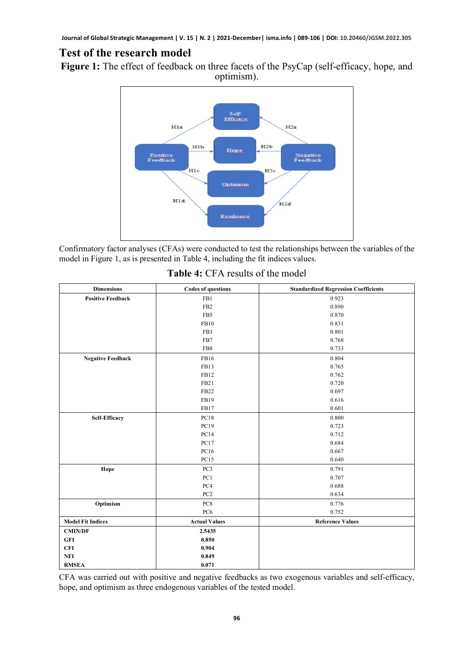### **Test of the research model**

**Figure 1:** The effect of feedback on three facets of the PsyCap (self-efficacy, hope, and optimism).



Confirmatory factor analyses (CFAs) were conducted to test the relationships between the variables of the model in Figure 1, as is presented in Table 4, including the fit indices values.

| <b>Dimensions</b>        | <b>Codes of questions</b> | <b>Standardized Regression Coefficients</b> |
|--------------------------|---------------------------|---------------------------------------------|
| <b>Positive Feedback</b> | FB1                       | 0.923                                       |
|                          | FB <sub>2</sub>           | 0.890                                       |
|                          | FB5                       | 0.870                                       |
|                          | <b>FB10</b>               | 0.831                                       |
|                          | FB3                       | 0.801                                       |
|                          | FB7                       | 0.768                                       |
|                          | FB8                       | 0.733                                       |
| <b>Negative Feedback</b> | FB16                      | 0.804                                       |
|                          | FB13                      | 0.765                                       |
|                          | FB12                      | 0.762                                       |
|                          | FB <sub>21</sub>          | 0.720                                       |
|                          | FB <sub>22</sub>          | 0.697                                       |
|                          | FB19                      | 0.616                                       |
|                          | FB17                      | 0.601                                       |
| <b>Self-Efficacy</b>     | <b>PC18</b>               | 0.800                                       |
|                          | PC19                      | 0.723                                       |
|                          | PC14                      | 0.712                                       |
|                          | <b>PC17</b>               | 0.684                                       |
|                          | PC16                      | 0.667                                       |
|                          | PC15                      | 0.640                                       |
| Hope                     | PC <sub>3</sub>           | 0.791                                       |
|                          | PC1                       | 0.707                                       |
|                          | PC4                       | 0.688                                       |
|                          | PC <sub>2</sub>           | 0.634                                       |
| Optimism                 | PC8                       | 0.776                                       |
|                          | PC <sub>6</sub>           | 0.752                                       |
| <b>Model Fit Indices</b> | <b>Actual Values</b>      | <b>Reference Values</b>                     |
| <b>CMIN/DF</b>           | 2.5435                    |                                             |
| GFI                      | 0.850                     |                                             |
| <b>CFI</b>               | 0.904                     |                                             |
| <b>NFI</b>               | 0.849                     |                                             |
| <b>RMSEA</b>             | 0.071                     |                                             |

**Table 4:** CFA results of the model

CFA was carried out with positive and negative feedbacks as two exogenous variables and self-efficacy, hope, and optimism as three endogenous variables of the tested model.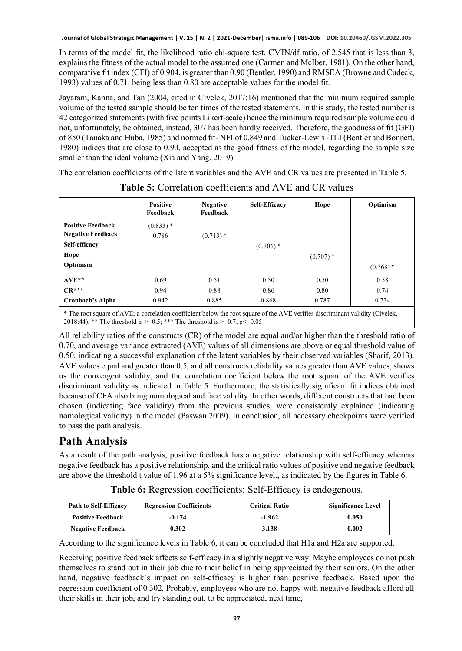In terms of the model fit, the likelihood ratio chi-square test, CMIN/df ratio, of 2.545 that is less than 3, explains the fitness of the actual model to the assumed one (Carmen and McIber, 1981). On the other hand, comparative fit index (CFI) of 0.904, is greater than 0.90 (Bentler, 1990) and RMSEA (Browne and Cudeck, 1993) values of 0.71, being less than 0.80 are acceptable values for the model fit.

Jayaram, Kanna, and Tan (2004, cited in Civelek, 2017:16) mentioned that the minimum required sample volume of the tested sample should be ten times of the tested statements. In this study, the tested number is 42 categorized statements (with five points Likert-scale) hence the minimum required sample volume could not, unfortunately, be obtained, instead, 307 has been hardly received. Therefore, the goodness of fit (GFI) of 850 (Tanaka and Huba, 1985) and normed fit- NFI of 0.849 and Tucker-Lewis -TLI (Bentler and Bonnett, 1980) indices that are close to 0.90, accepted as the good fitness of the model, regarding the sample size smaller than the ideal volume (Xia and Yang, 2019).

The correlation coefficients of the latent variables and the AVE and CR values are presented in Table 5.

|                                                                                           | <b>Positive</b><br>Feedback | <b>Negative</b><br>Feedback                         | <b>Self-Efficacy</b> | Hope                                         | Optimism    |
|-------------------------------------------------------------------------------------------|-----------------------------|-----------------------------------------------------|----------------------|----------------------------------------------|-------------|
| <b>Positive Feedback</b><br><b>Negative Feedback</b><br>Self-efficacy<br>Hope<br>Optimism | $(0.833)*$<br>0.786         | $(0.713)$ *                                         | $(0.706)$ *          | $(0.707)$ *                                  |             |
|                                                                                           |                             |                                                     |                      |                                              | $(0.768)$ * |
| $AVE**$                                                                                   | 0.69                        | 0.51                                                | 0.50                 | 0.50                                         | 0.58        |
| $CR***$                                                                                   | 0.94                        | 0.88                                                | 0.86                 | 0.80                                         | 0.74        |
| Cronbach's Alpha                                                                          | 0.942                       | 0.885                                               | 0.868                | 0.787                                        | 0.734       |
| 46.771<br>$C + T$<br>the contract of the contract of the                                  | 1.1                         | $C_{1}^{n}$ $1^{n}$ $1^{n}$ $1^{n}$ $1^{n}$ $1^{n}$ | $0.1 \pm \sqrt{10}$  | $\cdot \sim$ $\cdot$ $\cdot$ $\cdot$ $\cdot$ | 1.111.77    |

**Table 5:** Correlation coefficients and AVE and CR values

\* The root square of AVE; a correlation coefficient below the root square of the AVE verifies discriminant validity (Civelek, 2018:44); \*\* The threshold is  $>=0.5$ ; \*\*\* The threshold is  $>=0.7$ , p $<=0.05$ 

All reliability ratios of the constructs (CR) of the model are equal and/or higher than the threshold ratio of 0.70, and average variance extracted (AVE) values of all dimensions are above or equal threshold value of 0.50, indicating a successful explanation of the latent variables by their observed variables (Sharif, 2013). AVE values equal and greater than 0.5, and all constructs reliability values greater than AVE values, shows us the convergent validity, and the correlation coefficient below the root square of the AVE verifies discriminant validity as indicated in Table 5. Furthermore, the statistically significant fit indices obtained because of CFA also bring nomological and face validity. In other words, different constructs that had been chosen (indicating face validity) from the previous studies, were consistently explained (indicating nomological validity) in the model (Paswan 2009). In conclusion, all necessary checkpoints were verified to pass the path analysis.

# **Path Analysis**

As a result of the path analysis, positive feedback has a negative relationship with self-efficacy whereas negative feedback has a positive relationship, and the critical ratio values of positive and negative feedback are above the threshold t value of 1.96 at a 5% significance level., as indicated by the figures in Table 6.

| <b>Path to Self-Efficacy</b> | <b>Regression Coefficients</b> | <b>Critical Ratio</b> | Significance Level |
|------------------------------|--------------------------------|-----------------------|--------------------|
| <b>Positive Feedback</b>     | -0.174                         | -1.962                | 0.050              |
| <b>Negative Feedback</b>     | 0.302                          | 3.138                 | 0.002              |

**Table 6:** Regression coefficients: Self-Efficacy is endogenous.

According to the significance levels in Table 6, it can be concluded that H1a and H2a are supported.

Receiving positive feedback affects self-efficacy in a slightly negative way. Maybe employees do not push themselves to stand out in their job due to their belief in being appreciated by their seniors. On the other hand, negative feedback's impact on self-efficacy is higher than positive feedback. Based upon the regression coefficient of 0.302. Probably, employees who are not happy with negative feedback afford all their skills in their job, and try standing out, to be appreciated, next time,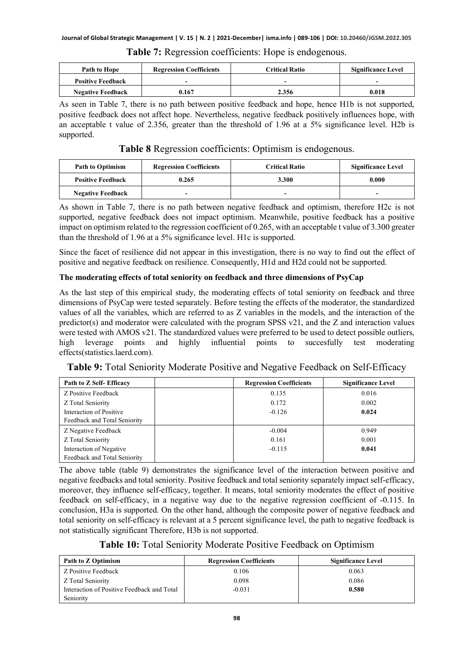| Path to Hope             | <b>Regression Coefficients</b> | <b>Critical Ratio</b> | <b>Significance Level</b> |
|--------------------------|--------------------------------|-----------------------|---------------------------|
| <b>Positive Feedback</b> | -                              | ۰                     | -                         |
| <b>Negative Feedback</b> | 0.167                          | 2.356                 | 0.018                     |

#### **Table 7:** Regression coefficients: Hope is endogenous.

As seen in Table 7, there is no path between positive feedback and hope, hence H1b is not supported, positive feedback does not affect hope. Nevertheless, negative feedback positively influences hope, with an acceptable t value of 2.356, greater than the threshold of 1.96 at a 5% significance level. H2b is supported.

**Table 8** Regression coefficients: Optimism is endogenous.

| <b>Path to Optimism</b>  | <b>Regression Coefficients</b> | <b>Critical Ratio</b> | <b>Significance Level</b> |
|--------------------------|--------------------------------|-----------------------|---------------------------|
| <b>Positive Feedback</b> | 0.265                          | 3.300                 | 0.000                     |
| <b>Negative Feedback</b> |                                | -                     |                           |

As shown in Table 7, there is no path between negative feedback and optimism, therefore H2c is not supported, negative feedback does not impact optimism. Meanwhile, positive feedback has a positive impact on optimism related to the regression coefficient of 0.265, with an acceptable t value of 3.300 greater than the threshold of 1.96 at a 5% significance level. H1c is supported.

Since the facet of resilience did not appear in this investigation, there is no way to find out the effect of positive and negative feedback on resilience. Consequently, H1d and H2d could not be supported.

### **The moderating effects of total seniority on feedback and three dimensions of PsyCap**

As the last step of this empirical study, the moderating effects of total seniority on feedback and three dimensions of PsyCap were tested separately. Before testing the effects of the moderator, the standardized values of all the variables, which are referred to as Z variables in the models, and the interaction of the predictor(s) and moderator were calculated with the program SPSS v21, and the Z and interaction values were tested with AMOS v21. The standardized values were preferred to be used to detect possible outliers, high leverage points and highly influential points to succesfully test moderating effects(statistics.laerd.com).

| Path to Z Self- Efficacy     | <b>Regression Coefficients</b> | <b>Significance Level</b> |
|------------------------------|--------------------------------|---------------------------|
| Z Positive Feedback          | 0.135                          | 0.016                     |
| Z Total Seniority            | 0.172                          | 0.002                     |
| Interaction of Positive      | $-0.126$                       | 0.024                     |
| Feedback and Total Seniority |                                |                           |
| Z Negative Feedback          | $-0.004$                       | 0.949                     |
| Z Total Seniority            | 0.161                          | 0.001                     |
| Interaction of Negative      | $-0.115$                       | 0.041                     |
| Feedback and Total Seniority |                                |                           |

**Table 9:** Total Seniority Moderate Positive and Negative Feedback on Self-Efficacy

The above table (table 9) demonstrates the significance level of the interaction between positive and negative feedbacks and total seniority. Positive feedback and total seniority separately impact self-efficacy, moreover, they influence self-efficacy, together. It means, total seniority moderates the effect of positive feedback on self-efficacy, in a negative way due to the negative regression coefficient of -0.115. In conclusion, H3a is supported. On the other hand, although the composite power of negative feedback and total seniority on self-efficacy is relevant at a 5 percent significance level, the path to negative feedback is not statistically significant Therefore, H3b is not supported.

**Table 10:** Total Seniority Moderate Positive Feedback on Optimism

| Path to Z Optimism                         | <b>Regression Coefficients</b> | <b>Significance Level</b> |
|--------------------------------------------|--------------------------------|---------------------------|
| Z Positive Feedback                        | 0.106                          | 0.063                     |
| Z Total Seniority                          | 0.098                          | 0.086                     |
| Interaction of Positive Feedback and Total | $-0.031$                       | 0.580                     |
| Seniority                                  |                                |                           |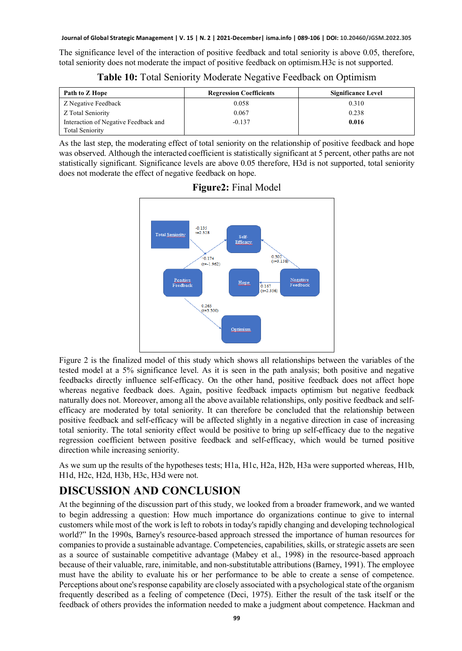The significance level of the interaction of positive feedback and total seniority is above 0.05, therefore, total seniority does not moderate the impact of positive feedback on optimism.H3c is not supported.

**Table 10:** Total Seniority Moderate Negative Feedback on Optimism

| Path to Z Hope                       | <b>Regression Coefficients</b> | <b>Significance Level</b> |
|--------------------------------------|--------------------------------|---------------------------|
| Z Negative Feedback                  | 0.058                          | 0.310                     |
| Z Total Seniority                    | 0.067                          | 0.238                     |
| Interaction of Negative Feedback and | $-0.137$                       | 0.016                     |
| <b>Total Seniority</b>               |                                |                           |

As the last step, the moderating effect of total seniority on the relationship of positive feedback and hope was observed. Although the interacted coefficient is statistically significant at 5 percent, other paths are not statistically significant. Significance levels are above 0.05 therefore, H3d is not supported, total seniority does not moderate the effect of negative feedback on hope.



**Figure2:** Final Model

Figure 2 is the finalized model of this study which shows all relationships between the variables of the tested model at a 5% significance level. As it is seen in the path analysis; both positive and negative feedbacks directly influence self-efficacy. On the other hand, positive feedback does not affect hope whereas negative feedback does. Again, positive feedback impacts optimism but negative feedback naturally does not. Moreover, among all the above available relationships, only positive feedback and selfefficacy are moderated by total seniority. It can therefore be concluded that the relationship between positive feedback and self-efficacy will be affected slightly in a negative direction in case of increasing total seniority. The total seniority effect would be positive to bring up self-efficacy due to the negative regression coefficient between positive feedback and self-efficacy, which would be turned positive direction while increasing seniority.

As we sum up the results of the hypotheses tests; H1a, H1c, H2a, H2b, H3a were supported whereas, H1b, H1d, H2c, H2d, H3b, H3c, H3d were not.

### **DISCUSSION AND CONCLUSION**

At the beginning of the discussion part of this study, we looked from a broader framework, and we wanted to begin addressing a question: How much importance do organizations continue to give to internal customers while most of the work is left to robots in today's rapidly changing and developing technological world?" In the 1990s, Barney's resource-based approach stressed the importance of human resources for companies to provide a sustainable advantage. Competencies, capabilities, skills, or strategic assets are seen as a source of sustainable competitive advantage (Mabey et al., 1998) in the resource-based approach because of their valuable, rare, inimitable, and non-substitutable attributions (Barney, 1991). The employee must have the ability to evaluate his or her performance to be able to create a sense of competence. Perceptions about one's response capability are closely associated with a psychological state of the organism frequently described as a feeling of competence (Deci, 1975). Either the result of the task itself or the feedback of others provides the information needed to make a judgment about competence. Hackman and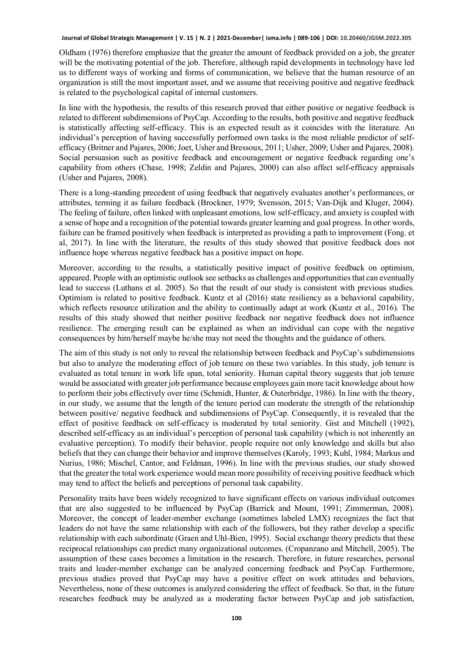Oldham (1976) therefore emphasize that the greater the amount of feedback provided on a job, the greater will be the motivating potential of the job. Therefore, although rapid developments in technology have led us to different ways of working and forms of communication, we believe that the human resource of an organization is still the most important asset, and we assume that receiving positive and negative feedback is related to the psychological capital of internal customers.

In line with the hypothesis, the results of this research proved that either positive or negative feedback is related to different subdimensions of PsyCap. According to the results, both positive and negative feedback is statistically affecting self-efficacy. This is an expected result as it coincides with the literature. An individual's perception of having successfully performed own tasks is the most reliable predictor of selfefficacy (Britner and Pajares, 2006; Joet, Usher and Bressoux, 2011; Usher, 2009; Usher and Pajares, 2008). Social persuasion such as positive feedback and encouragement or negative feedback regarding one's capability from others (Chase, 1998; Zeldin and Pajares, 2000) can also affect self-efficacy appraisals (Usher and Pajares, 2008).

There is a long-standing precedent of using feedback that negatively evaluates another's performances, or attributes, terming it as failure feedback (Brockner, 1979; Svensson, 2015; Van-Dijk and Kluger, 2004). The feeling of failure, often linked with unpleasant emotions, low self-efficacy, and anxiety is coupled with a sense of hope and a recognition of the potential towards greater learning and goal progress. In other words, failure can be framed positively when feedback is interpreted as providing a path to improvement (Fong. et al, 2017). In line with the literature, the results of this study showed that positive feedback does not influence hope whereas negative feedback has a positive impact on hope.

Moreover, according to the results, a statistically positive impact of positive feedback on optimism, appeared. People with an optimistic outlook see setbacks as challenges and opportunities that can eventually lead to success (Luthans et al. 2005). So that the result of our study is consistent with previous studies. Optimism is related to positive feedback. Kuntz et al (2016) state resiliency as a behavioral capability, which reflects resource utilization and the ability to continually adapt at work (Kuntz et al., 2016). The results of this study showed that neither positive feedback nor negative feedback does not influence resilience. The emerging result can be explained as when an individual can cope with the negative consequences by him/herself maybe he/she may not need the thoughts and the guidance of others.

The aim of this study is not only to reveal the relationship between feedback and PsyCap's subdimensions but also to analyze the moderating effect of job tenure on these two variables. In this study, job tenure is evaluated as total tenure in work life span, total seniority. Human capital theory suggests that job tenure would be associated with greater job performance because employees gain more tacit knowledge about how to perform their jobs effectively over time (Schmidt, Hunter, & Outerbridge, 1986). In line with the theory, in our study, we assume that the length of the tenure period can moderate the strength of the relationship between positive/ negative feedback and subdimensions of PsyCap. Consequently, it is revealed that the effect of positive feedback on self-efficacy is moderated by total seniority. Gist and Mitchell (1992), described self-efficacy as an individual's perception of personal task capability (which is not inherently an evaluative perception). To modify their behavior, people require not only knowledge and skills but also beliefs that they can change their behavior and improve themselves (Karoly, 1993; Kuhl, 1984; Markus and Nurius, 1986; Mischel, Cantor, and Feldman, 1996). In line with the previous studies, our study showed that the greater the total work experience would mean more possibility of receiving positive feedback which may tend to affect the beliefs and perceptions of personal task capability.

Personality traits have been widely recognized to have significant effects on various individual outcomes that are also suggested to be influenced by PsyCap (Barrick and Mount, 1991; Zimmerman, 2008). Moreover, the concept of leader-member exchange (sometimes labeled LMX) recognizes the fact that leaders do not have the same relationship with each of the followers, but they rather develop a specific relationship with each subordinate (Graen and Uhl-Bien, 1995). Social exchange theory predicts that these reciprocal relationships can predict many organizational outcomes. (Cropanzano and Mitchell, 2005). The assumption of these cases becomes a limitation in the research. Therefore, in future researches, personal traits and leader-member exchange can be analyzed concerning feedback and PsyCap. Furthermore, previous studies proved that PsyCap may have a positive effect on work attitudes and behaviors, Nevertheless, none of these outcomes is analyzed considering the effect of feedback. So that, in the future researches feedback may be analyzed as a moderating factor between PsyCap and job satisfaction,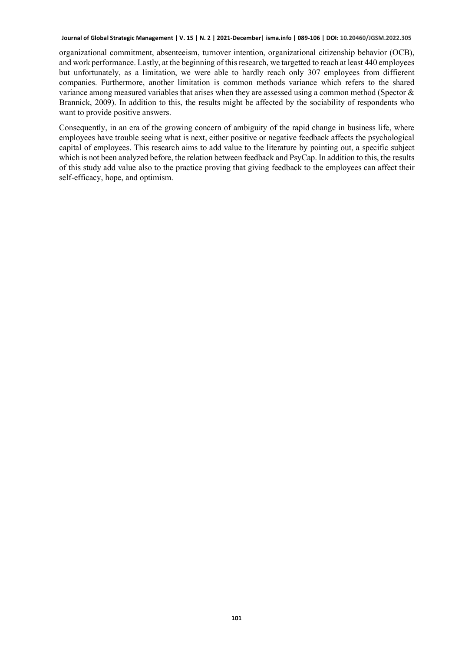organizational commitment, absenteeism, turnover intention, organizational citizenship behavior (OCB), and work performance. Lastly, at the beginning of this research, we targetted to reach at least 440 employees but unfortunately, as a limitation, we were able to hardly reach only 307 employees from diffierent companies. Furthermore, another limitation is common methods variance which refers to the shared variance among measured variables that arises when they are assessed using a common method (Spector & Brannick, 2009). In addition to this, the results might be affected by the sociability of respondents who want to provide positive answers.

Consequently, in an era of the growing concern of ambiguity of the rapid change in business life, where employees have trouble seeing what is next, either positive or negative feedback affects the psychological capital of employees. This research aims to add value to the literature by pointing out, a specific subject which is not been analyzed before, the relation between feedback and PsyCap. In addition to this, the results of this study add value also to the practice proving that giving feedback to the employees can affect their self-efficacy, hope, and optimism.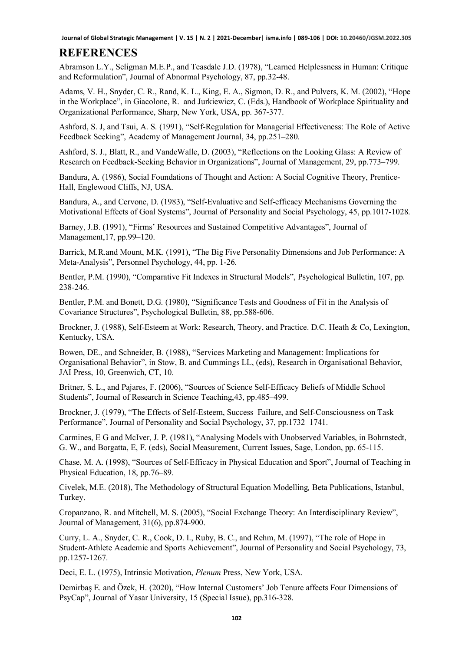### **REFERENCES**

Abramson L.Y., Seligman M.E.P., and Teasdale J.D. (1978), "Learned Helplessness in Human: Critique and Reformulation", Journal of Abnormal Psychology, 87, pp.32-48.

Adams, V. H., Snyder, C. R., Rand, K. L., King, E. A., Sigmon, D. R., and Pulvers, K. M. (2002), "Hope in the Workplace", in Giacolone, R. and Jurkiewicz, C. (Eds.), Handbook of Workplace Spirituality and Organizational Performance, Sharp, New York, USA, pp. 367-377.

Ashford, S. J, and Tsui, A. S. (1991), "Self-Regulation for Managerial Effectiveness: The Role of Active Feedback Seeking", Academy of Management Journal, 34, pp.251–280.

Ashford, S. J., Blatt, R., and VandeWalle, D. (2003), "Reflections on the Looking Glass: A Review of Research on Feedback-Seeking Behavior in Organizations", Journal of Management, 29, pp.773–799.

Bandura, A. (1986), Social Foundations of Thought and Action: A Social Cognitive Theory, Prentice-Hall, Englewood Cliffs, NJ, USA.

Bandura, A., and Cervone, D. (1983), "Self-Evaluative and Self-efficacy Mechanisms Governing the Motivational Effects of Goal Systems", Journal of Personality and Social Psychology, 45, pp.1017-1028.

Barney, J.B. (1991), "Firms' Resources and Sustained Competitive Advantages", Journal of Management,17, pp.99–120.

Barrick, M.R.and Mount, M.K. (1991), "The Big Five Personality Dimensions and Job Performance: A Meta-Analysis", Personnel Psychology, 44, pp. 1-26.

Bentler, P.M. (1990), "Comparative Fit Indexes in Structural Models", Psychological Bulletin, 107, pp. 238-246.

Bentler, P.M. and Bonett, D.G. (1980), "Significance Tests and Goodness of Fit in the Analysis of Covariance Structures", Psychological Bulletin, 88, pp.588-606.

Brockner, J. (1988), Self-Esteem at Work: Research, Theory, and Practice. D.C. Heath & Co, Lexington, Kentucky, USA.

Bowen, DE., and Schneider, B. (1988), "Services Marketing and Management: Implications for Organisational Behavior", in Stow, B. and Cummings LL, (eds), Research in Organisational Behavior, JAI Press, 10, Greenwich, CT, 10.

Britner, S. L., and Pajares, F. (2006), "Sources of Science Self-Efficacy Beliefs of Middle School Students", Journal of Research in Science Teaching,43, pp.485–499.

Brockner, J. (1979), "The Effects of Self-Esteem, Success–Failure, and Self-Consciousness on Task Performance", Journal of Personality and Social Psychology, 37, pp.1732–1741.

Carmines, E G and McIver, J. P. (1981), "Analysing Models with Unobserved Variables, in Bohrnstedt, G. W., and Borgatta, E, F. (eds), Social Measurement, Current Issues, Sage, London, pp. 65-115.

Chase, M. A. (1998), "Sources of Self-Efficacy in Physical Education and Sport", Journal of Teaching in Physical Education, 18, pp.76–89.

Civelek, M.E. (2018), The Methodology of Structural Equation Modelling*,* Beta Publications, Istanbul, Turkey.

Cropanzano, R. and Mitchell, M. S. (2005), "Social Exchange Theory: An Interdisciplinary Review", Journal of Management, 31(6), pp.874-900.

Curry, L. A., Snyder, C. R., Cook, D. I., Ruby, B. C., and Rehm, M. (1997), "The role of Hope in Student-Athlete Academic and Sports Achievement", Journal of Personality and Social Psychology, 73, pp.1257-1267.

Deci, E. L. (1975), Intrinsic Motivation, *Plenum* Press, New York, USA.

Demirbaş E. and Özek, H. (2020), "How Internal Customers' Job Tenure affects Four Dimensions of PsyCap", Journal of Yasar University, 15 (Special Issue), pp.316-328.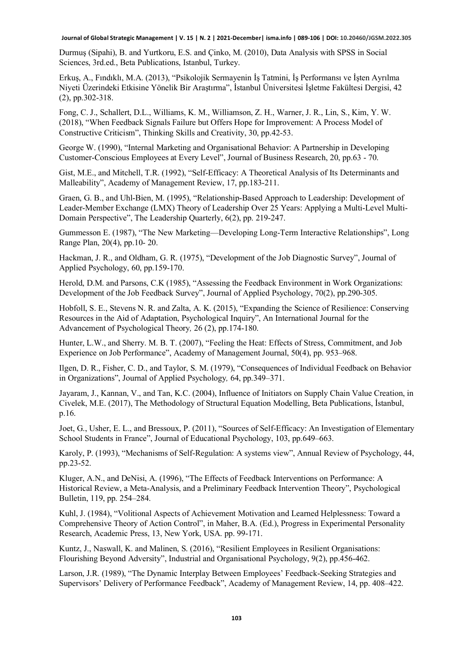Durmuş (Sipahi), B. and Yurtkoru, E.S. and Çinko, M. (2010), Data Analysis with SPSS in Social Sciences, 3rd.ed., Beta Publications, Istanbul, Turkey.

Erkuş, A., Fındıklı, M.A. (2013), "Psikolojik Sermayenin İş Tatmini, İş Performansı ve İşten Ayrılma Niyeti Üzerindeki Etkisine Yönelik Bir Araştırma", İstanbul Üniversitesi İşletme Fakültesi Dergisi, 42 (2), pp.302-318.

Fong, C. J., Schallert, D.L., Williams, K. M., Williamson, Z. H., Warner, J. R., Lin, S., Kim, Y. W. (2018), "When Feedback Signals Failure but Offers Hope for Improvement: A Process Model of Constructive Criticism", Thinking Skills and Creativity, 30, pp.42-53.

George W. (1990), "Internal Marketing and Organisational Behavior: A Partnership in Developing Customer-Conscious Employees at Every Level", Journal of Business Research, 20, pp.63 - 70.

Gist, M.E., and Mitchell, T.R. (1992), "Self-Efficacy: A Theoretical Analysis of Its Determinants and Malleability", Academy of Management Review, 17, pp.183-211.

Graen, G. B., and Uhl-Bien, M. (1995), "Relationship-Based Approach to Leadership: Development of Leader-Member Exchange (LMX) Theory of Leadership Over 25 Years: Applying a Multi-Level Multi-Domain Perspective", The Leadership Quarterly, 6(2), pp. 219-247.

Gummesson E. (1987), "The New Marketing—Developing Long-Term Interactive Relationships", Long Range Plan, 20(4), pp.10- 20.

Hackman, J. R., and Oldham, G. R. (1975), "Development of the Job Diagnostic Survey", Journal of Applied Psychology, 60, pp.159-170.

Herold, D.M. and Parsons, C.K (1985), "Assessing the Feedback Environment in Work Organizations: Development of the Job Feedback Survey", Journal of Applied Psychology, 70(2), pp.290-305.

Hobfoll, S. E., Stevens N. R. and Zalta, A. K. (2015), "Expanding the Science of Resilience: Conserving Resources in the Aid of Adaptation, Psychological Inquiry", An International Journal for the Advancement of Psychological Theory*,* 26 (2), pp.174-180.

Hunter, L.W., and Sherry. M. B. T. (2007), "Feeling the Heat: Effects of Stress, Commitment, and Job Experience on Job Performance", Academy of Management Journal, 50(4), pp. 953–968.

Ilgen, D. R., Fisher, C. D., and Taylor, S. M. (1979), "Consequences of Individual Feedback on Behavior in Organizations", Journal of Applied Psychology*,* 64, pp.349–371.

Jayaram, J., Kannan, V., and Tan, K.C. (2004), Influence of Initiators on Supply Chain Value Creation, in Civelek, M.E. (2017), The Methodology of Structural Equation Modelling, Beta Publications, İstanbul, p.16.

Joet, G., Usher, E. L., and Bressoux, P. (2011), "Sources of Self-Efficacy: An Investigation of Elementary School Students in France", Journal of Educational Psychology, 103, pp.649–663.

Karoly, P. (1993), "Mechanisms of Self-Regulation: A systems view", Annual Review of Psychology, 44, pp.23-52.

Kluger, A.N., and DeNisi, A. (1996), "The Effects of Feedback Interventions on Performance: A Historical Review, a Meta-Analysis, and a Preliminary Feedback Intervention Theory", Psychological Bulletin, 119, pp. 254–284.

Kuhl, J. (1984), "Volitional Aspects of Achievement Motivation and Learned Helplessness: Toward a Comprehensive Theory of Action Control", in Maher, B.A. (Ed.), Progress in Experimental Personality Research, Academic Press, 13, New York, USA. pp. 99-171.

Kuntz, J., Naswall, K. and Malinen, S. (2016), "Resilient Employees in Resilient Organisations: Flourishing Beyond Adversity", Industrial and Organisational Psychology, 9(2), pp.456-462.

Larson, J.R. (1989), "The Dynamic Interplay Between Employees' Feedback-Seeking Strategies and Supervisors' Delivery of Performance Feedback", Academy of Management Review, 14, pp. 408–422.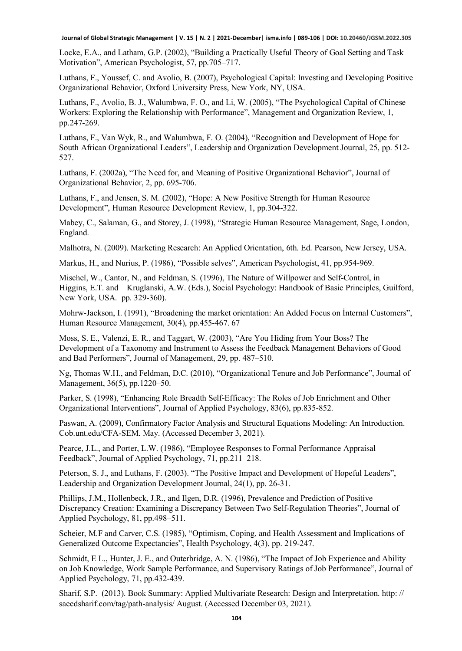Locke, E.A., and Latham, G.P. (2002), "Building a Practically Useful Theory of Goal Setting and Task Motivation", American Psychologist, 57, pp.705–717.

Luthans, F., Youssef, C. and Avolio, B. (2007), Psychological Capital: Investing and Developing Positive Organizational Behavior, Oxford University Press, New York, NY, USA.

Luthans, F., Avolio, B. J., Walumbwa, F. O., and Li, W. (2005), "The Psychological Capital of Chinese Workers: Exploring the Relationship with Performance", Management and Organization Review, 1, pp.247-269.

Luthans, F., Van Wyk, R., and Walumbwa, F. O. (2004), "Recognition and Development of Hope for South African Organizational Leaders", Leadership and Organization Development Journal, 25, pp. 512- 527.

Luthans, F. (2002a), "The Need for, and Meaning of Positive Organizational Behavior", Journal of Organizational Behavior, 2, pp. 695-706.

Luthans, F., and Jensen, S. M. (2002), "Hope: A New Positive Strength for Human Resource Development", Human Resource Development Review, 1, pp.304-322.

Mabey, C., Salaman, G., and Storey, J. (1998), "Strategic Human Resource Management, Sage, London, England.

Malhotra, N. (2009). Marketing Research: An Applied Orientation, 6th. Ed. Pearson, New Jersey, USA.

Markus, H., and Nurius, P. (1986), "Possible selves", American Psychologist, 41, pp.954-969.

Mischel, W., Cantor, N., and Feldman, S. (1996), The Nature of Willpower and Self-Control, in Higgins, E.T. and Kruglanski, A.W. (Eds.), Social Psychology: Handbook of Basic Principles, Guilford, New York, USA. pp. 329-360).

Mohrw-Jackson, I. (1991), "Broadening the market orientation: An Added Focus on İnternal Customers", Human Resource Management, 30(4), pp.455-467. 67

Moss, S. E., Valenzi, E. R., and Taggart, W. (2003), "Are You Hiding from Your Boss? The Development of a Taxonomy and Instrument to Assess the Feedback Management Behaviors of Good and Bad Performers", Journal of Management, 29, pp. 487–510.

Ng, Thomas W.H., and Feldman, D.C. (2010), "Organizational Tenure and Job Performance", Journal of Management, 36(5), pp.1220–50.

Parker, S. (1998), "Enhancing Role Breadth Self-Efficacy: The Roles of Job Enrichment and Other Organizational Interventions", Journal of Applied Psychology, 83(6), pp.835-852.

Paswan, A. (2009), Confirmatory Factor Analysis and Structural Equations Modeling: An Introduction. Cob.unt.edu/CFA-SEM. May. (Accessed December 3, 2021).

Pearce, J.L., and Porter, L.W. (1986), "Employee Responses to Formal Performance Appraisal Feedback", Journal of Applied Psychology, 71, pp.211–218.

Peterson, S. J., and Luthans, F. (2003). "The Positive Impact and Development of Hopeful Leaders", Leadership and Organization Development Journal, 24(1), pp. 26-31.

Phillips, J.M., Hollenbeck, J.R., and Ilgen, D.R. (1996), Prevalence and Prediction of Positive Discrepancy Creation: Examining a Discrepancy Between Two Self-Regulation Theories", Journal of Applied Psychology, 81, pp.498–511.

Scheier, M.F and Carver, C.S. (1985), "Optimism, Coping, and Health Assessment and Implications of Generalized Outcome Expectancies", Health Psychology, 4(3), pp. 219-247.

Schmidt, E L., Hunter, J. E., and Outerbridge, A. N. (1986), "The Impact of Job Experience and Ability on Job Knowledge, Work Sample Performance, and Supervisory Ratings of Job Performance", Journal of Applied Psychology, 71, pp.432-439.

Sharif, S.P. (2013). Book Summary: Applied Multivariate Research: Design and Interpretation. http: // saeedsharif.com/tag/path-analysis/ August. (Accessed December 03, 2021).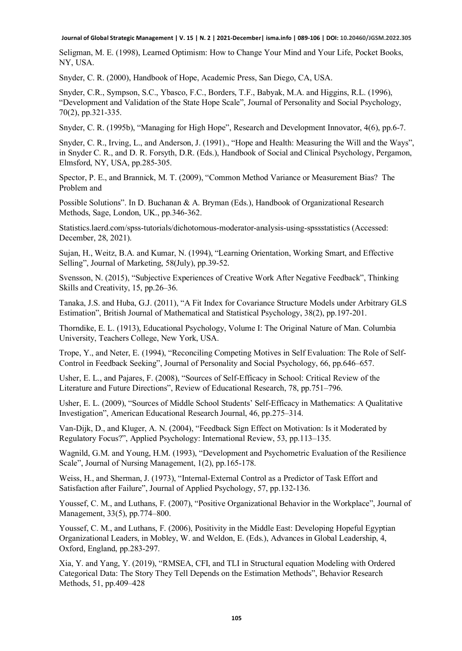Seligman, M. E. (1998), Learned Optimism: How to Change Your Mind and Your Life, Pocket Books, NY, USA.

Snyder, C. R. (2000), Handbook of Hope, Academic Press, San Diego, CA, USA.

Snyder, C.R., Sympson, S.C., Ybasco, F.C., Borders, T.F., Babyak, M.A. and Higgins, R.L. (1996), "Development and Validation of the State Hope Scale", Journal of Personality and Social Psychology, 70(2), pp.321-335.

Snyder, C. R. (1995b), "Managing for High Hope", Research and Development Innovator, 4(6), pp.6-7.

Snyder, C. R., Irving, L., and Anderson, J. (1991)., "Hope and Health: Measuring the Will and the Ways", in Snyder C. R., and D. R. Forsyth, D.R. (Eds.), Handbook of Social and Clinical Psychology, Pergamon, Elmsford, NY, USA, pp.285-305.

Spector, P. E., and Brannick, M. T. (2009), "Common Method Variance or Measurement Bias? The Problem and

Possible Solutions". In D. Buchanan & A. Bryman (Eds.), Handbook of Organizational Research Methods, Sage, London, UK., pp.346-362.

Statistics.laerd.com/spss-tutorials/dichotomous-moderator-analysis-using-[spssstatistics \(Accessed:](about:blank)  [December,](about:blank) 28, 2021).

Sujan, H., Weitz, B.A. and Kumar, N. (1994), "Learning Orientation, Working Smart, and Effective Selling", Journal of Marketing, 58(July), pp.39-52.

Svensson, N. (2015), "Subjective Experiences of Creative Work After Negative Feedback", Thinking Skills and Creativity, 15, pp.26–36.

Tanaka, J.S. and Huba, G.J. (2011), "A Fit Index for Covariance Structure Models under Arbitrary GLS Estimation", British Journal of Mathematical and Statistical Psychology, 38(2), pp.197-201.

Thorndike, E. L. (1913), Educational Psychology, Volume I: The Original Nature of Man. Columbia University, Teachers College, New York, USA.

Trope, Y., and Neter, E. (1994), "Reconciling Competing Motives in Self Evaluation: The Role of Self-Control in Feedback Seeking", Journal of Personality and Social Psychology, 66, pp.646–657.

Usher, E. L., and Pajares, F. (2008), "Sources of Self-Efficacy in School: Critical Review of the Literature and Future Directions", Review of Educational Research, 78, pp.751–796.

Usher, E. L. (2009), "Sources of Middle School Students' Self-Efficacy in Mathematics: A Qualitative Investigation", American Educational Research Journal, 46, pp.275–314.

Van-Dijk, D., and Kluger, A. N. (2004), "Feedback Sign Effect on Motivation: Is it Moderated by Regulatory Focus?", Applied Psychology: International Review, 53, pp.113–135.

Wagnild, G.M. and Young, H.M. (1993), "Development and Psychometric Evaluation of the Resilience Scale", Journal of Nursing Management, 1(2), pp.165-178.

Weiss, H., and Sherman, J. (1973), "Internal-External Control as a Predictor of Task Effort and Satisfaction after Failure", Journal of Applied Psychology, 57, pp.132-136.

Youssef, C. M., and Luthans, F. (2007), "Positive Organizational Behavior in the Workplace", Journal of Management, 33(5), pp.774–800.

Youssef, C. M., and Luthans, F. (2006), Positivity in the Middle East: Developing Hopeful Egyptian Organizational Leaders, in Mobley, W. and Weldon, E. (Eds.), Advances in Global Leadership, 4, Oxford, England, pp.283-297.

Xia, Y. and Yang, Y. (2019), "RMSEA, CFI, and TLI in Structural equation Modeling with Ordered Categorical Data: The Story They Tell Depends on the Estimation Methods", Behavior Research Methods, 51, pp.409–428